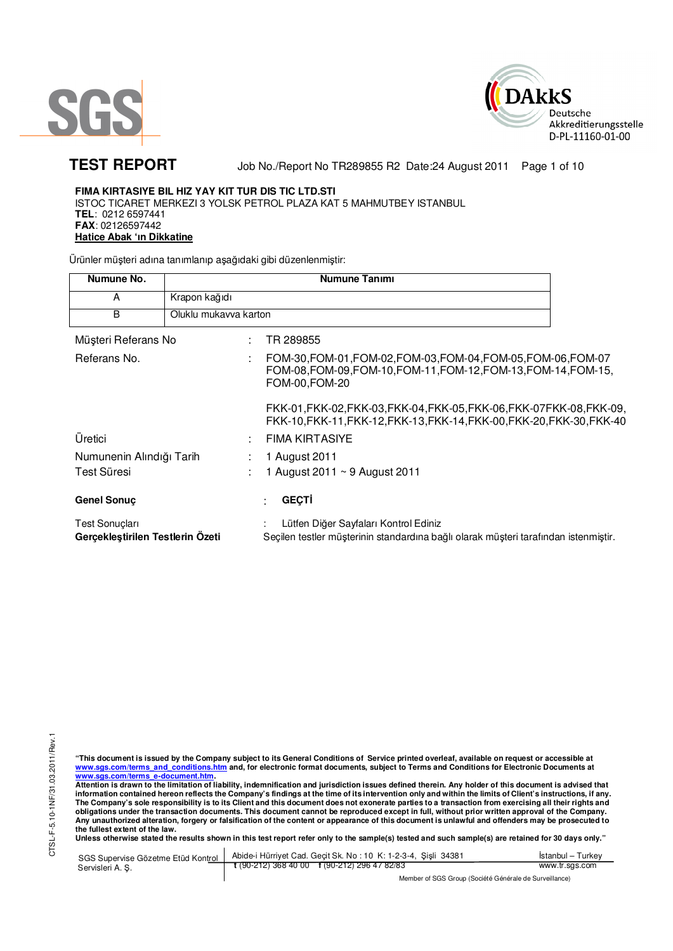



**TEST REPORT** Job No./Report No TR289855 R2 Date:24 August 2011 Page 1 of 10

# **FIMA KIRTASIYE BIL HIZ YAY KIT TUR DIS TIC LTD.STI**

ISTOC TICARET MERKEZI 3 YOLSK PETROL PLAZA KAT 5 MAHMUTBEY ISTANBUL **TEL**: 0212 6597441 **FAX**: 02126597442 **Hatice Abak 'ın Dikkatine**

Ürünler müşteri adına tanımlanıp aşağıdaki gibi düzenlenmiştir:

| Numune No.                                         |                       | <b>Numune Tanımı</b>                                                                                                                                |
|----------------------------------------------------|-----------------------|-----------------------------------------------------------------------------------------------------------------------------------------------------|
| A                                                  | Krapon kağıdı         |                                                                                                                                                     |
| B                                                  | Oluklu mukavva karton |                                                                                                                                                     |
| Müşteri Referans No                                |                       | TR 289855                                                                                                                                           |
| Referans No.                                       |                       | FOM-30, FOM-01, FOM-02, FOM-03, FOM-04, FOM-05, FOM-06, FOM-07<br>FOM-08, FOM-09, FOM-10, FOM-11, FOM-12, FOM-13, FOM-14, FOM-15,<br>FOM-00, FOM-20 |
|                                                    |                       | FKK-01,FKK-02,FKK-03,FKK-04,FKK-05,FKK-06,FKK-07FKK-08,FKK-09.<br>FKK-10, FKK-11, FKK-12, FKK-13, FKK-14, FKK-00, FKK-20, FKK-30, FKK-40            |
| Üretici                                            |                       | <b>FIMA KIRTASIYE</b>                                                                                                                               |
| Numunenin Alındığı Tarih<br>Test Süresi            |                       | 1 August 2011<br>1 August 2011 ~ 9 August 2011                                                                                                      |
| <b>Genel Sonuç</b>                                 |                       | <b>GEÇTİ</b>                                                                                                                                        |
| Test Sonuçları<br>Gerçekleştirilen Testlerin Özeti |                       | Lütfen Diğer Sayfaları Kontrol Ediniz<br>Seçilen testler müşterinin standardına bağlı olarak müşteri tarafından istenmiştir.                        |

CTSL-F-5.10-1NF/31.03.2011/Rev.1 CTSL-F-5.10-1NF/31.03.2011/Rev.1

"This document is issued by the Company subject to its General Conditions of Service printed overleaf, available on request or accessible at<br>www.sgs.com/terms\_and\_conditions.htm\_and, for electronic format documents, subjec <mark>www.sgs.com/terms\_e-document.htm.</mark><br>Attention is drawn to the limitation of liability, indemnification and jurisdiction issues defined therein. Any holder of this document is advised that

information contained hereon reflects the Company's findings at the time of its intervention only and within the limits of Client's instructions, if any.<br>The Company's sole responsibility is to its Client and this document obligations under the transaction documents. This document cannot be reproduced except in full, without prior written approval of the Company.<br>Any unauthorized alteration, forgery or falsification of the content or appeara

Unless otherwise stated the results shown in this test report refer only to the sample(s) tested and such sample(s) are retained for 30 days only."

| SGS Supervise Gözetme Etüd Kontrol | Abide-i Hürriyet Cad. Gecit Sk. No: 10 K: 1-2-3-4, Sisli 34381       | Istanbul – Turkev |  |
|------------------------------------|----------------------------------------------------------------------|-------------------|--|
| Servisleri A. S.                   | $\frac{1}{2}$ (90-212) 368 40 00 $\frac{1}{2}$ (90-212) 296 47 82/83 | www.tr.sgs.com    |  |
|                                    | Member of SGS Group (Société Générale de Surveillance)               |                   |  |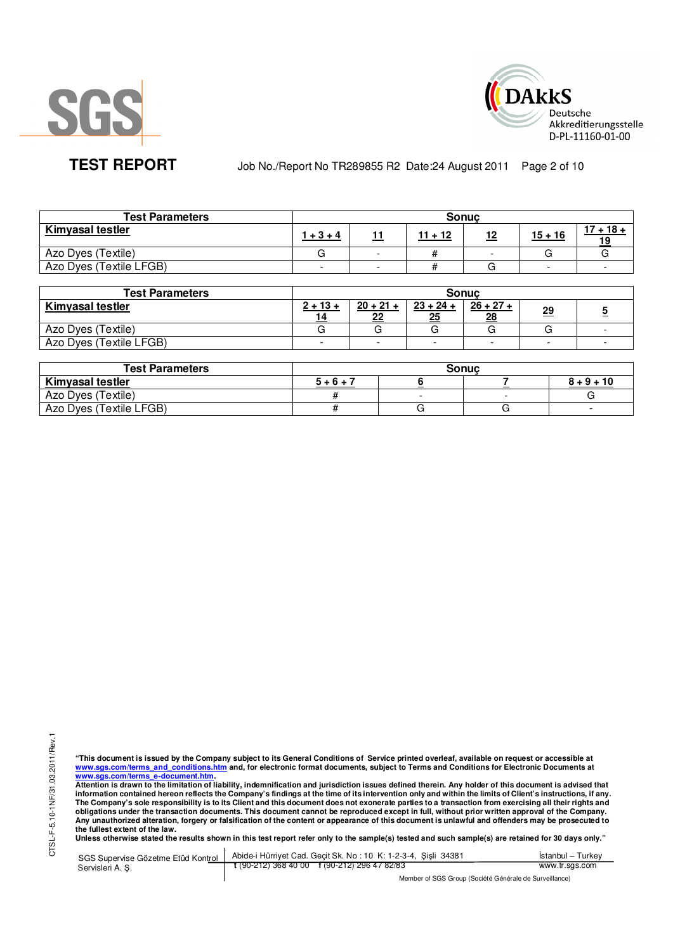



**TEST REPORT** Job No./Report No TR289855 R2 Date:24 August 2011 Page 2 of 10

| <b>Test Parameters</b>  |                          |                          | <b>Sonuc</b> |           |           |             |
|-------------------------|--------------------------|--------------------------|--------------|-----------|-----------|-------------|
| <b>Kimyasal testler</b> | $1 + 3 + 4$              |                          | $11 + 12$    | <u>12</u> | $15 + 16$ | $17 + 18 +$ |
| Azo Dyes (Textile)      |                          | -                        |              |           |           |             |
| Azo Dyes (Textile LFGB) | $\overline{\phantom{0}}$ | $\overline{\phantom{0}}$ |              |           | -         |             |

| <b>Test Parameters</b>  | <b>Sonuc</b>     |                          |                          |                   |           |  |  |  |
|-------------------------|------------------|--------------------------|--------------------------|-------------------|-----------|--|--|--|
| <b>Kimyasal testler</b> | $2 + 13 +$<br>14 | $20 + 21 +$<br>22        | $23 + 24 +$<br>25        | $26 + 27 +$<br>28 | <u>29</u> |  |  |  |
| Azo Dyes (Textile)      |                  |                          |                          |                   |           |  |  |  |
| Azo Dyes (Textile LFGB) | -                | $\overline{\phantom{0}}$ | $\overline{\phantom{0}}$ |                   |           |  |  |  |

| <b>Test Parameters</b>  |         | Sonuc |              |
|-------------------------|---------|-------|--------------|
| <b>Kimyasal testler</b> | $5+6+7$ |       | $8 + 9 + 10$ |
| Azo Dyes (Textile)      |         |       |              |
| Azo Dyes (Textile LFGB) |         |       |              |

"This document is issued by the Company subject to its General Conditions of Service printed overleaf, available on request or accessible at<br>www.sgs.com/terms\_and\_conditions.htm\_and, for electronic format documents, subjec <mark>www.sgs.com/terms\_e-document.htm.</mark><br>Attention is drawn to the limitation of liability, indemnification and jurisdiction issues defined therein. Any holder of this document is advised that

information contained hereon reflects the Company's findings at the time of its intervention only and within the limits of Client's instructions, if any.<br>The Company's sole responsibility is to its Client and this document **obligations under the transaction documents. This document cannot be reproduced except in full, without prior written approval of the Company.**  Any unauthorized alteration, forgery or falsification of the content or appearance of this document is unlawful and offenders may be prosecuted to<br>the fullest extent of the law.<br>Unless otherwise stated the results shown in

SGS Supervise Gözetme Etüd Kontrol Servisleri A. Ş. Abide-i Hürriyet Cad. Geçit Sk. No : 10 K: 1-2-3-4, Şişli 34381 **t** (90-212) 368 40 00 **f** (90-212) 296 47 82/83 İstanbul – Turkey www.tr.sgs.com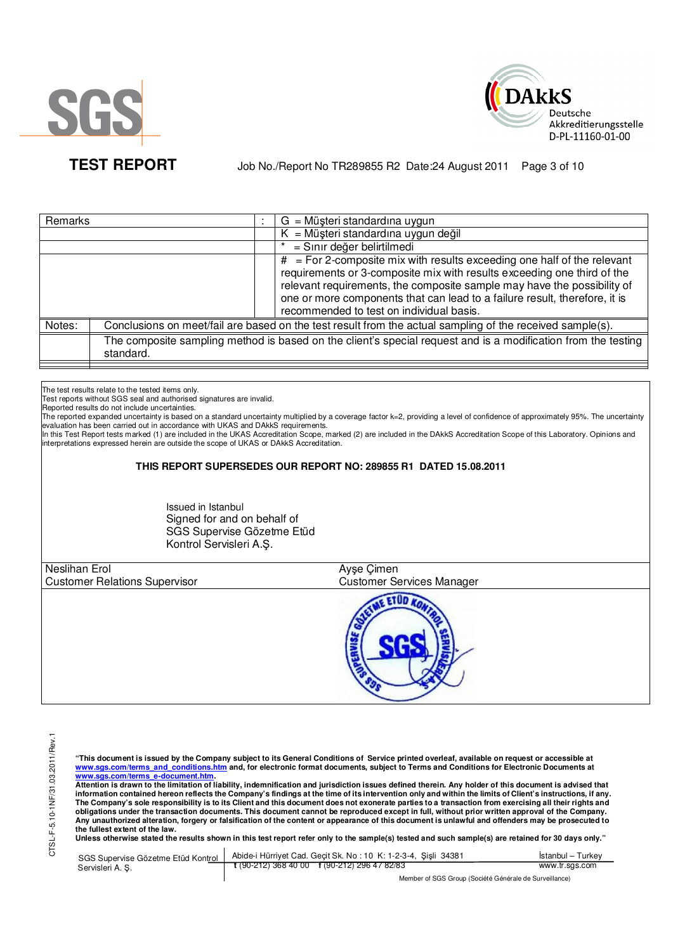



**TEST REPORT** Job No./Report No TR289855 R2 Date:24 August 2011 Page 3 of 10

|           |         | $G = M\ddot{\mu}$ şteri standardına uygun                                                                                                                                                                                                                                                                                                                 |
|-----------|---------|-----------------------------------------------------------------------------------------------------------------------------------------------------------------------------------------------------------------------------------------------------------------------------------------------------------------------------------------------------------|
|           |         | $K = M\ddot{u}$ șteri standardına uygun değil                                                                                                                                                                                                                                                                                                             |
|           |         | = Sınır değer belirtilmedi                                                                                                                                                                                                                                                                                                                                |
|           |         | $#$ = For 2-composite mix with results exceeding one half of the relevant<br>requirements or 3-composite mix with results exceeding one third of the<br>relevant requirements, the composite sample may have the possibility of<br>one or more components that can lead to a failure result, therefore, it is<br>recommended to test on individual basis. |
|           |         | Conclusions on meet/fail are based on the test result from the actual sampling of the received sample(s).                                                                                                                                                                                                                                                 |
| standard. |         | The composite sampling method is based on the client's special request and is a modification from the testing                                                                                                                                                                                                                                             |
|           | Remarks |                                                                                                                                                                                                                                                                                                                                                           |

The test results relate to the tested items only.

Test reports without SGS seal and authorised signatures are invalid.

Reported results do not include uncertainties.

The reported expanded uncertainty is based on a standard uncertainty multiplied by a coverage factor k=2, providing a level of confidence of approximately 95%. The uncertainty evaluation has been carried out in accordance with UKAS and DAkkS requirements.

In this Test Report tests marked (1) are included in the UKAS Accreditation Scope, marked (2) are included in the DAkkS Accreditation Scope of this Laboratory. Opinions and interpretations expressed herein are outside the scope of UKAS or DAkkS Accreditation.

# **THIS REPORT SUPERSEDES OUR REPORT NO: 289855 R1 DATED 15.08.2011**

Issued in Istanbul Signed for and on behalf of SGS Supervise Gözetme Etüd Kontrol Servisleri A.Ş.

| <b>Neslihan Erol</b><br><b>Customer Relations Supervisor</b> | Ayşe Çimen<br><b>Customer Services Manager</b> |  |
|--------------------------------------------------------------|------------------------------------------------|--|
|                                                              | <b>THEE.</b>                                   |  |

**"This document is issued by the Company subject to its General Conditions of Service printed overleaf, available on request or accessible at www.sgs.com/terms\_and\_conditions.htm and, for electronic format documents, subject to Terms and Conditions for Electronic Documents at** 

<mark>www.sgs.com/terms\_e-document.htm.</mark><br>Attention is drawn to the limitation of liability, indemnification and jurisdiction issues defined therein. Any holder of this document is advised that information contained hereon reflects the Company's findings at the time of its intervention only and within the limits of Client's instructions, if any.<br>The Company's sole responsibility is to its Client and this document **obligations under the transaction documents. This document cannot be reproduced except in full, without prior written approval of the Company. Any unauthorized alteration, forgery or falsification of the content or appearance of this document is unlawful and offenders may be prosecuted to the fullest extent of the law.** 

Unless otherwise stated the results shown in this test report refer only to the sample(s) tested and such sample(s) are retained for 30 days only."

|                  | SGS Supervise Gözetme Etüd Kontrol   Abide-i Hürriyet Cad. Geçit Sk. No: 10 K: 1-2-3-4, Şişli 34381      | Istanbul - Turkey |
|------------------|----------------------------------------------------------------------------------------------------------|-------------------|
| Servisleri A. S. | $\frac{1}{2}$ (90-212) 368 40 00 f (90-212) 296 47 82/83                                                 | www.tr.sgs.com    |
|                  | $M_{\rm BH}$ . The state of $\sim$ $\sim$ $M_{\rm BH}$ is the $\sim$ $M_{\rm BH}$ is the state of $\sim$ |                   |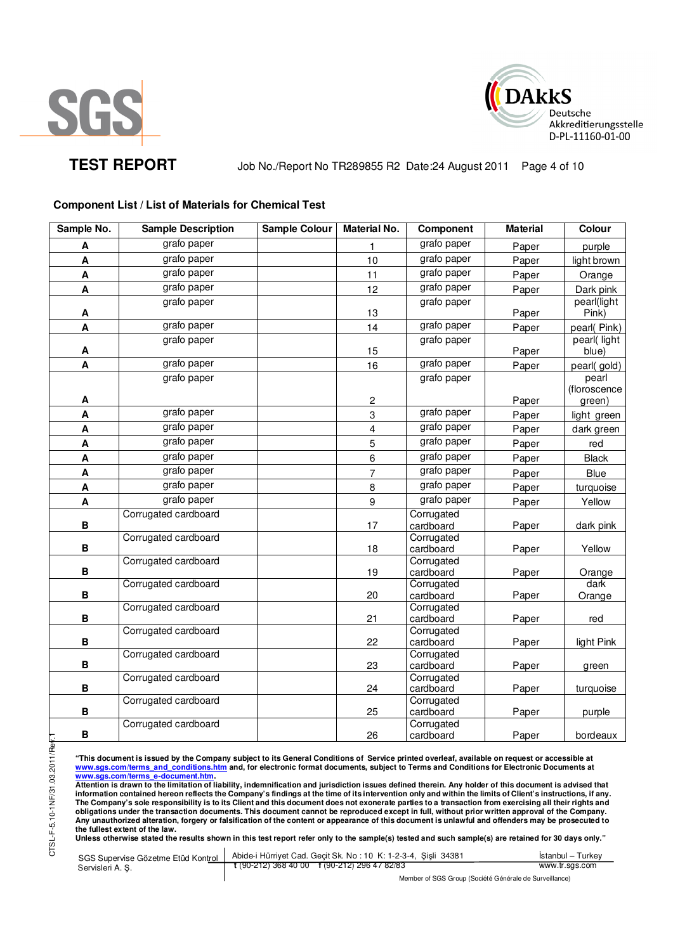



**TEST REPORT** Job No./Report No TR289855 R2 Date:24 August 2011 Page 4 of 10

# **Component List / List of Materials for Chemical Test**

| Sample No.                | <b>Sample Description</b> | <b>Sample Colour</b> | <b>Material No.</b>              | Component               | <b>Material</b> | Colour               |
|---------------------------|---------------------------|----------------------|----------------------------------|-------------------------|-----------------|----------------------|
| A                         | grafo paper               |                      | 1                                | grafo paper             | Paper           | purple               |
| $\pmb{\mathsf{A}}$        | grafo paper               |                      | 10                               | grafo paper             | Paper           | light brown          |
| $\boldsymbol{\mathsf{A}}$ | grafo paper               |                      | 11                               | grafo paper             | Paper           | Orange               |
| $\pmb{\mathsf{A}}$        | grafo paper               |                      | 12                               | grafo paper             | Paper           | Dark pink            |
|                           | grafo paper               |                      |                                  | grafo paper             |                 | pearl(light          |
| $\boldsymbol{\mathsf{A}}$ |                           |                      | 13                               |                         | Paper           | Pink)                |
| $\pmb{\mathsf{A}}$        | grafo paper               |                      | 14                               | grafo paper             | Paper           | pearl(Pink)          |
| A                         | grafo paper               |                      | 15                               | grafo paper             | Paper           | pearl(light<br>blue) |
| $\mathbf{A}$              | grafo paper               |                      | 16                               | grafo paper             | Paper           | pearl(gold)          |
|                           | grafo paper               |                      |                                  | grafo paper             |                 | pearl                |
|                           |                           |                      |                                  |                         |                 | (floroscence         |
| A                         | grafo paper               |                      | $\boldsymbol{2}$<br>$\mathbf{3}$ | grafo paper             | Paper           | green)               |
| $\mathbf{A}$              | grafo paper               |                      |                                  | grafo paper             | Paper           | light green          |
| A                         | grafo paper               |                      | $\overline{\mathbf{4}}$          | grafo paper             | Paper           | dark green           |
| $\boldsymbol{\mathsf{A}}$ |                           |                      | 5                                |                         | Paper           | red                  |
| A                         | grafo paper               |                      | 6                                | grafo paper             | Paper           | <b>Black</b>         |
| $\boldsymbol{\mathsf{A}}$ | grafo paper               |                      | $\overline{7}$                   | grafo paper             | Paper           | <b>Blue</b>          |
| $\boldsymbol{\mathsf{A}}$ | grafo paper               |                      | 8                                | grafo paper             | Paper           | turquoise            |
| $\pmb{\mathsf{A}}$        | grafo paper               |                      | $\boldsymbol{9}$                 | grafo paper             | Paper           | Yellow               |
| $\, {\bf B}$              | Corrugated cardboard      |                      | 17                               | Corrugated<br>cardboard | Paper           | dark pink            |
|                           | Corrugated cardboard      |                      |                                  | Corrugated              |                 |                      |
| В                         |                           |                      | 18                               | cardboard               | Paper           | Yellow               |
|                           | Corrugated cardboard      |                      |                                  | Corrugated              |                 |                      |
| В                         |                           |                      | 19                               | cardboard               | Paper           | Orange               |
| $\, {\bf B}$              | Corrugated cardboard      |                      | 20                               | Corrugated<br>cardboard | Paper           | dark<br>Orange       |
|                           | Corrugated cardboard      |                      |                                  | Corrugated              |                 |                      |
| $\, {\bf B}$              |                           |                      | 21                               | cardboard               | Paper           | red                  |
|                           | Corrugated cardboard      |                      |                                  | Corrugated              |                 |                      |
| $\, {\bf B}$              |                           |                      | 22                               | cardboard               | Paper           | light Pink           |
| $\, {\bf B}$              | Corrugated cardboard      |                      | 23                               | Corrugated<br>cardboard | Paper           | green                |
|                           | Corrugated cardboard      |                      |                                  | Corrugated              |                 |                      |
| $\, {\bf B}$              |                           |                      | 24                               | cardboard               | Paper           | turquoise            |
|                           | Corrugated cardboard      |                      |                                  | Corrugated              |                 |                      |
| $\, {\bf B}$              |                           |                      | 25                               | cardboard               | Paper           | purple               |
| $\, {\bf B}$              | Corrugated cardboard      |                      | 26                               | Corrugated<br>cardboard | Paper           | bordeaux             |
|                           |                           |                      |                                  |                         |                 |                      |

"This document is issued by the Company subject to its General Conditions of Service printed overleaf, available on request or accessible at<br>www.sgs.com/terms\_and\_conditions.htm\_and, for electronic format documents, subjec <mark>www.sgs.com/terms\_e-document.htm.</mark><br>Attention is drawn to the limitation of liability, indemnification and jurisdiction issues defined therein. Any holder of this document is advised that

information contained hereon reflects the Company's findings at the time of its intervention only and within the limits of Client's instructions, if any.<br>The Company's sole responsibility is to its Client and this document **obligations under the transaction documents. This document cannot be reproduced except in full, without prior written approval of the Company. Any unauthorized alteration, forgery or falsification of the content or appearance of this document is unlawful and offenders may be prosecuted to the fullest extent of the law.** 

**Unless otherwise stated the results shown in this test report refer only to the sample(s) tested and such sample(s) are retained for 30 days only."** 

SGS Supervise Gözetme Etüd Kontrol Servisleri A. Ş. Abide-i Hürriyet Cad. Geçit Sk. No : 10 K: 1-2-3-4, Şişli 34381 **t** (90-212) 368 40 00 **f** (90-212) 296 47 82/83 İstanbul – Turkey www.tr.sgs.com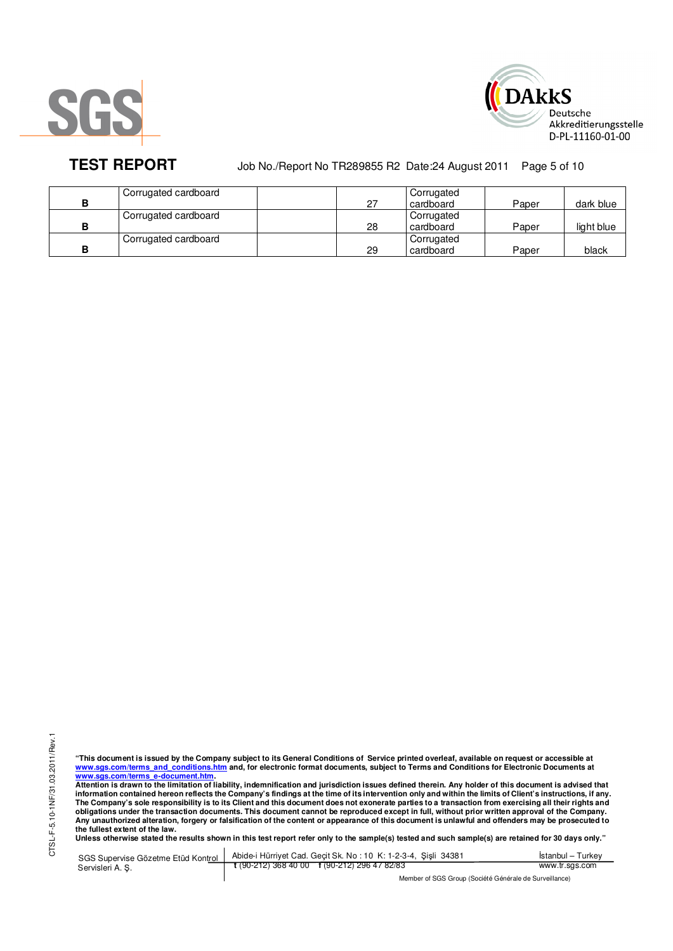



**TEST REPORT** Job No./Report No TR289855 R2 Date:24 August 2011 Page 5 of 10

|   | Corrugated cardboard |    | Corrugated |       |            |
|---|----------------------|----|------------|-------|------------|
| в |                      | 27 | cardboard  | Paper | dark blue  |
|   | Corrugated cardboard |    | Corrugated |       |            |
| в |                      | 28 | cardboard  | Paper | light blue |
|   | Corrugated cardboard |    | Corrugated |       |            |
| в |                      | 29 | cardboard  | Paper | black      |

"This document is issued by the Company subject to its General Conditions of Service printed overleaf, available on request or accessible at<br>www.sgs.com/terms\_and\_conditions.htm\_and, for electronic format documents, subjec <mark>www.sgs.com/terms\_e-document.htm.</mark><br>Attention is drawn to the limitation of liability, indemnification and jurisdiction issues defined therein. Any holder of this document is advised that

information contained hereon reflects the Company's findings at the time of its intervention only and within the limits of Client's instructions, if any.<br>The Company's sole responsibility is to its Client and this document obligations under the transaction documents. This document cannot be reproduced except in full, without prior written approval of the Company.<br>Any unauthorized alteration, forgery or falsification of the content or appeara

SGS Supervise Gözetme Etüd Kontrol Servisleri A. Ş. Abide-i Hürriyet Cad. Geçit Sk. No : 10 K: 1-2-3-4, Şişli 34381 **t** (90-212) 368 40 00 **f** (90-212) 296 47 82/83 İstanbul – Turkey www.tr.sgs.com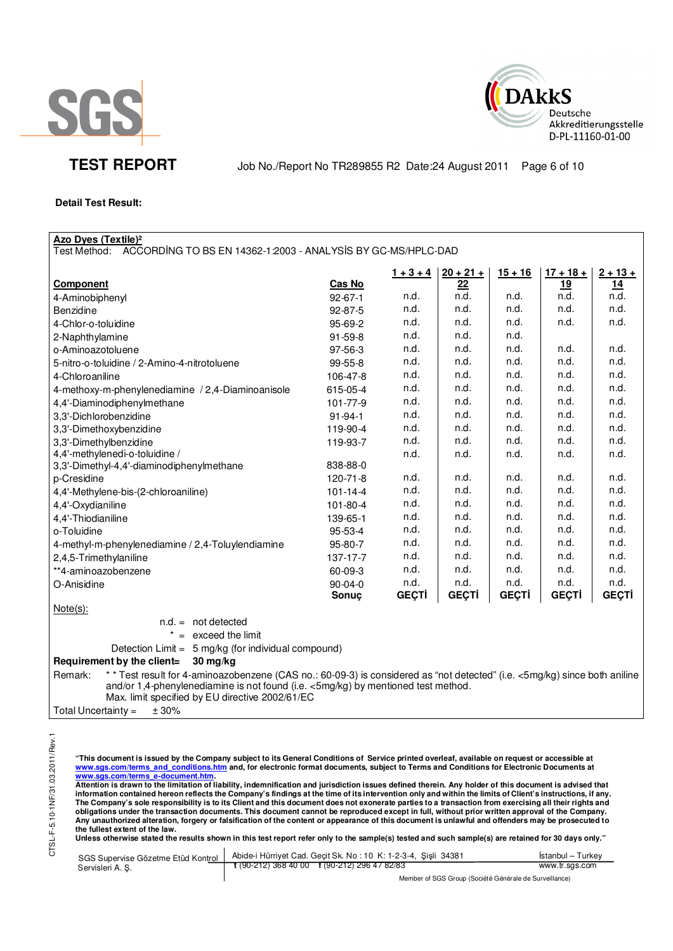



**TEST REPORT** Job No./Report No TR289855 R2 Date:24 August 2011 Page 6 of 10

# **Detail Test Result:**

| <b>Azo Dyes (Textile)<sup>2</sup></b><br>Test Method: ACCORDING TO BS EN 14362-1:2003 - ANALYSIS BY GC-MS/HPLC-DAD                    |                |              |              |              |              |              |
|---------------------------------------------------------------------------------------------------------------------------------------|----------------|--------------|--------------|--------------|--------------|--------------|
|                                                                                                                                       |                |              |              |              |              |              |
|                                                                                                                                       |                | $1 + 3 + 4$  | $20 + 21 +$  | $15 + 16$    | $17 + 18 +$  | $2 + 13 +$   |
| Component                                                                                                                             | Cas No         |              | 22           |              | 19           | 14           |
| 4-Aminobiphenyl                                                                                                                       | $92 - 67 - 1$  | n.d.         | n.d.         | n.d.         | n.d.         | n.d.         |
| Benzidine                                                                                                                             | 92-87-5        | n.d.         | n.d.         | n.d.         | n.d.         | n.d.         |
| 4-Chlor-o-toluidine                                                                                                                   | 95-69-2        | n.d.         | n.d.         | n.d.         | n.d.         | n.d.         |
| 2-Naphthylamine                                                                                                                       | 91-59-8        | n.d.         | n.d.         | n.d.         |              |              |
| o-Aminoazotoluene                                                                                                                     | 97-56-3        | n.d.         | n.d.         | n.d.         | n.d.         | n.d.         |
| 5-nitro-o-toluidine / 2-Amino-4-nitrotoluene                                                                                          | 99-55-8        | n.d.         | n.d.         | n.d.         | n.d.         | n.d.         |
| 4-Chloroaniline                                                                                                                       | 106-47-8       | n.d.         | n.d.         | n.d.         | n.d.         | n.d.         |
| 4-methoxy-m-phenylenediamine / 2,4-Diaminoanisole                                                                                     | 615-05-4       | n.d.         | n.d.         | n.d.         | n.d.         | n.d.         |
| 4,4'-Diaminodiphenylmethane                                                                                                           | 101-77-9       | n.d.         | n.d.         | n.d.         | n.d.         | n.d.         |
| 3,3'-Dichlorobenzidine                                                                                                                | $91 - 94 - 1$  | n.d.         | n.d.         | n.d.         | n.d.         | n.d.         |
| 3,3'-Dimethoxybenzidine                                                                                                               | 119-90-4       | n.d.         | n.d.         | n.d.         | n.d.         | n.d.         |
| 3,3'-Dimethylbenzidine                                                                                                                | 119-93-7       | n.d.         | n.d.         | n.d.         | n.d.         | n.d.         |
| 4,4'-methylenedi-o-toluidine /                                                                                                        |                | n.d.         | n.d.         | n.d.         | n.d.         | n.d.         |
| 3,3'-Dimethyl-4,4'-diaminodiphenylmethane                                                                                             | 838-88-0       |              |              |              |              |              |
| p-Cresidine                                                                                                                           | 120-71-8       | n.d.         | n.d.         | n.d.         | n.d.         | n.d.         |
| 4,4'-Methylene-bis-(2-chloroaniline)                                                                                                  | $101 - 14 - 4$ | n.d.         | n.d.         | n.d.         | n.d.         | n.d.         |
| 4,4'-Oxydianiline                                                                                                                     | 101-80-4       | n.d.         | n.d.         | n.d.         | n.d.         | n.d.         |
| 4,4'-Thiodianiline                                                                                                                    | 139-65-1       | n.d.         | n.d.         | n.d.         | n.d.         | n.d.         |
| o-Toluidine                                                                                                                           | 95-53-4        | n.d.         | n.d.         | n.d.         | n.d.         | n.d.         |
| 4-methyl-m-phenylenediamine / 2,4-Toluylendiamine                                                                                     | 95-80-7        | n.d.         | n.d.         | n.d.         | n.d.         | n.d.         |
| 2,4,5-Trimethylaniline                                                                                                                | 137-17-7       | n.d.         | n.d.         | n.d.         | n.d.         | n.d.         |
| **4-aminoazobenzene                                                                                                                   | 60-09-3        | n.d.         | n.d.         | n.d.         | n.d.         | n.d.         |
| O-Anisidine                                                                                                                           | 90-04-0        | n.d.         | n.d.         | n.d.         | n.d.         | n.d.         |
|                                                                                                                                       | Sonuç          | <b>GEÇTİ</b> | <b>GEÇTİ</b> | <b>GEÇTİ</b> | <b>GEÇTİ</b> | <b>GEÇTİ</b> |
| $Note(s)$ :                                                                                                                           |                |              |              |              |              |              |
| $n.d. = not detected$                                                                                                                 |                |              |              |              |              |              |
| $=$ exceed the limit                                                                                                                  |                |              |              |              |              |              |
| Detection Limit = 5 mg/kg (for individual compound)                                                                                   |                |              |              |              |              |              |
| Requirement by the client=<br>30 mg/kg                                                                                                |                |              |              |              |              |              |
| * * Test result for 4-aminoazobenzene (CAS no.: 60-09-3) is considered as "not detected" (i.e. <5mg/kg) since both aniline<br>Remark: |                |              |              |              |              |              |
| and/or 1,4-phenylenediamine is not found (i.e. <5mg/kg) by mentioned test method.                                                     |                |              |              |              |              |              |
| Max. limit specified by EU directive 2002/61/EC                                                                                       |                |              |              |              |              |              |
| Total Uncertainty =<br>$\pm$ 30%                                                                                                      |                |              |              |              |              |              |

"This document is issued by the Company subject to its General Conditions of Service printed overleaf, available on request or accessible at<br>www.sgs.com/terms\_and\_conditions.htm\_and, for electronic format documents, subjec

<u>www.sgs.com/terms\_e-document.htm.</u><br>Attention is drawn to the limitation of liability, indemnification and jurisdiction issues defined therein. Any holder of this document is advised that<br>information contained hereon refle obligations under the transaction documents. This document cannot be reproduced except in full, without prior written approval of the Company.<br>Any unauthorized alteration, forgery or falsification of the content or appeara

**Unless otherwise stated the results shown in this test report refer only to the sample(s) tested and such sample(s) are retained for 30 days only."** 

|                 | SGS Supervise Gözetme Etüd Kontrol   Abide-i Hürriyet Cad. Geçit Sk. No: 10 K: 1-2-3-4, Şişli 34381 | Istanbul – Turkey |
|-----------------|-----------------------------------------------------------------------------------------------------|-------------------|
| Servisleri A.S. | $\frac{1}{2}$ (90-212) 368 40 00 f (90-212) 296 47 82/83                                            | www.tr.sgs.com    |
|                 | Mambar of PCP Crain (Posiótó Cánárola de Purvaillance)                                              |                   |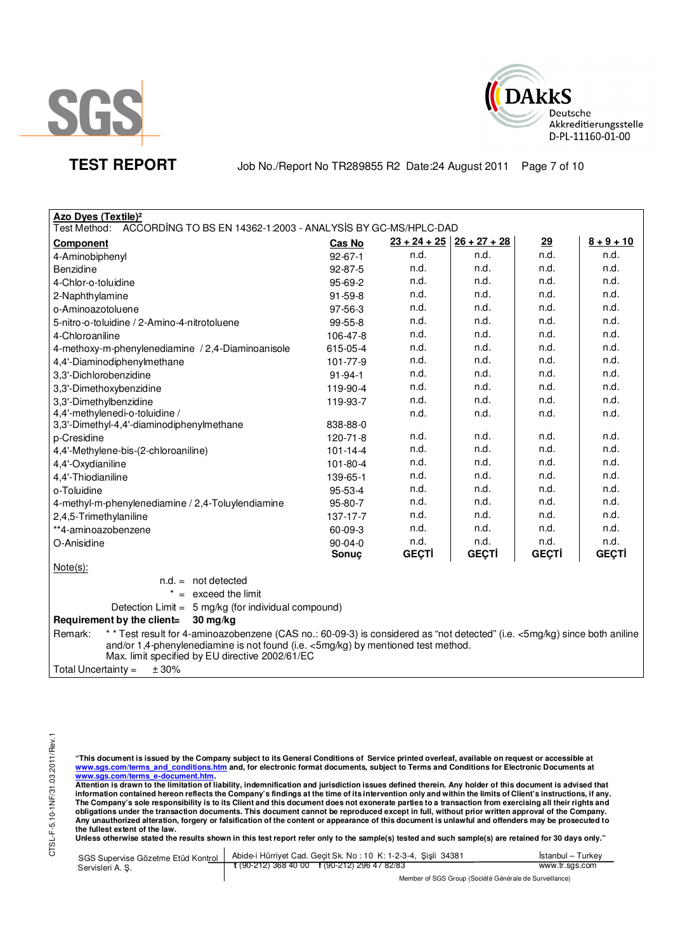



**TEST REPORT** Job No./Report No TR289855 R2 Date:24 August 2011 Page 7 of 10

| Azo Dyes (Textile) <sup>2</sup>                                                                                                                                                                                            |                |                             |              |              |              |  |
|----------------------------------------------------------------------------------------------------------------------------------------------------------------------------------------------------------------------------|----------------|-----------------------------|--------------|--------------|--------------|--|
| Test Method:<br>ACCORDING TO BS EN 14362-1:2003 - ANALYSIS BY GC-MS/HPLC-DAD                                                                                                                                               |                |                             |              |              |              |  |
| <b>Component</b>                                                                                                                                                                                                           | Cas No         | $23 + 24 + 25$ 26 + 27 + 28 |              | 29           | $8 + 9 + 10$ |  |
| 4-Aminobiphenyl                                                                                                                                                                                                            | $92 - 67 - 1$  | n.d.                        | n.d.         | n.d.         | n.d.         |  |
| Benzidine                                                                                                                                                                                                                  | $92 - 87 - 5$  | n.d.                        | n.d.         | n.d.         | n.d.         |  |
| 4-Chlor-o-toluidine                                                                                                                                                                                                        | 95-69-2        | n.d.                        | n.d.         | n.d.         | n.d.         |  |
| 2-Naphthylamine                                                                                                                                                                                                            | $91 - 59 - 8$  | n.d.                        | n.d.         | n.d.         | n.d.         |  |
| o-Aminoazotoluene                                                                                                                                                                                                          | 97-56-3        | n.d.                        | n.d.         | n.d.         | n.d.         |  |
| 5-nitro-o-toluidine / 2-Amino-4-nitrotoluene                                                                                                                                                                               | $99-55-8$      | n.d.                        | n.d.         | n.d.         | n.d.         |  |
| 4-Chloroaniline                                                                                                                                                                                                            | 106-47-8       | n.d.                        | n.d.         | n.d.         | n.d.         |  |
| 4-methoxy-m-phenylenediamine / 2,4-Diaminoanisole                                                                                                                                                                          | 615-05-4       | n.d.                        | n.d.         | n.d.         | n.d.         |  |
| 4,4'-Diaminodiphenylmethane                                                                                                                                                                                                | 101-77-9       | n.d.                        | n.d.         | n.d.         | n.d.         |  |
| 3,3'-Dichlorobenzidine                                                                                                                                                                                                     | $91 - 94 - 1$  | n.d.                        | n.d.         | n.d.         | n.d.         |  |
| 3,3'-Dimethoxybenzidine                                                                                                                                                                                                    | 119-90-4       | n.d.                        | n.d.         | n.d.         | n.d.         |  |
| 3,3'-Dimethylbenzidine                                                                                                                                                                                                     | 119-93-7       | n.d.                        | n.d.         | n.d.         | n.d.         |  |
| 4,4'-methylenedi-o-toluidine /                                                                                                                                                                                             |                | n.d.                        | n.d.         | n.d.         | n.d.         |  |
| 3,3'-Dimethyl-4,4'-diaminodiphenylmethane                                                                                                                                                                                  | 838-88-0       |                             |              |              |              |  |
| p-Cresidine                                                                                                                                                                                                                | $120 - 71 - 8$ | n.d.                        | n.d.         | n.d.         | n.d.         |  |
| 4,4'-Methylene-bis-(2-chloroaniline)                                                                                                                                                                                       | $101 - 14 - 4$ | n.d.                        | n.d.         | n.d.         | n.d.         |  |
| 4,4'-Oxydianiline                                                                                                                                                                                                          | 101-80-4       | n.d.                        | n.d.         | n.d.         | n.d.         |  |
| 4,4'-Thiodianiline                                                                                                                                                                                                         | 139-65-1       | n.d.                        | n.d.         | n.d.         | n.d.         |  |
| o-Toluidine                                                                                                                                                                                                                | 95-53-4        | n.d.                        | n.d.         | n.d.         | n.d.         |  |
| 4-methyl-m-phenylenediamine / 2,4-Toluylendiamine                                                                                                                                                                          | 95-80-7        | n.d.                        | n.d.         | n.d.         | n.d.         |  |
| 2,4,5-Trimethylaniline                                                                                                                                                                                                     | 137-17-7       | n.d.                        | n.d.         | n.d.         | n.d.         |  |
| **4-aminoazobenzene                                                                                                                                                                                                        | 60-09-3        | n.d.                        | n.d.         | n.d.         | n.d.         |  |
| O-Anisidine                                                                                                                                                                                                                | $90 - 04 - 0$  | n.d.                        | n.d.         | n.d.         | n.d.         |  |
|                                                                                                                                                                                                                            | Sonuç          | <b>GEÇTİ</b>                | <b>GEÇTİ</b> | <b>GEÇTİ</b> | <b>GECTI</b> |  |
| $Note(s)$ :                                                                                                                                                                                                                |                |                             |              |              |              |  |
| $n.d. = not detected$                                                                                                                                                                                                      |                |                             |              |              |              |  |
| $* =$ exceed the limit                                                                                                                                                                                                     |                |                             |              |              |              |  |
| Detection Limit = 5 mg/kg (for individual compound)                                                                                                                                                                        |                |                             |              |              |              |  |
| Requirement by the client=<br>$30 \text{ mg/kg}$                                                                                                                                                                           |                |                             |              |              |              |  |
| * * Test result for 4-aminoazobenzene (CAS no.: 60-09-3) is considered as "not detected" (i.e. <5mg/kg) since both aniline<br>Remark:<br>and/or 1,4-phenylenediamine is not found (i.e. <5mg/kg) by mentioned test method. |                |                             |              |              |              |  |
| Max. limit specified by EU directive 2002/61/EC                                                                                                                                                                            |                |                             |              |              |              |  |
| ± 30%<br>Total Uncertainty $=$                                                                                                                                                                                             |                |                             |              |              |              |  |

"This document is issued by the Company subject to its General Conditions of Service printed overleaf, available on request or accessible at<br>www.sgs.com/terms\_and\_conditions.htm\_and, for electronic format documents, subjec

<u>www.sgs.com/terms\_e-document.htm.</u><br>Attention is drawn to the limitation of liability, indemnification and jurisdiction issues defined therein. Any holder of this document is advised that<br>information contained hereon refle obligations under the transaction documents. This document cannot be reproduced except in full, without prior written approval of the Company.<br>Any unauthorized alteration, forgery or falsification of the content or appeara

**Unless otherwise stated the results shown in this test report refer only to the sample(s) tested and such sample(s) are retained for 30 days only."** 

|                  | SGS Supervise Gözetme Etüd Kontrol   Abide-i Hürriyet Cad. Geçit Sk. No: 10 K: 1-2-3-4, Şişli 34381 | Istanbul – Turkey |  |
|------------------|-----------------------------------------------------------------------------------------------------|-------------------|--|
| Servisleri A. S. | $\frac{1}{2}$ (90-212) 368 40 00 f (90-212) 296 47 82/83                                            | www.tr.sas.com    |  |
|                  | Mambau of POP Ourine (Panilité O fotballa de Primiellanae)                                          |                   |  |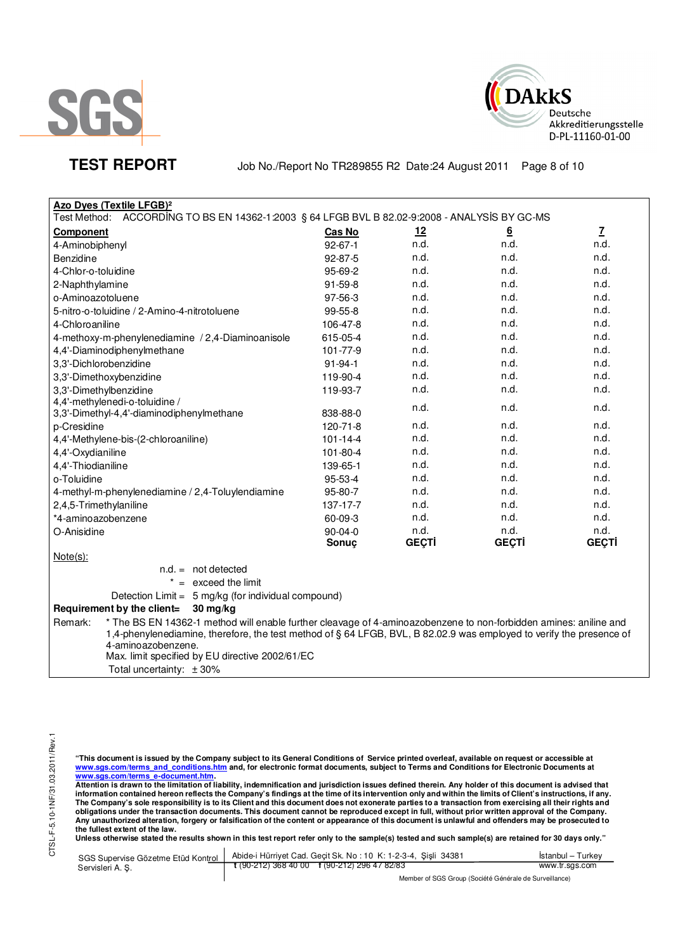



**TEST REPORT** Job No./Report No TR289855 R2 Date:24 August 2011 Page 8 of 10

| Azo Dyes (Textile LFGB) <sup>2</sup>                                                             |                |              |                 |              |
|--------------------------------------------------------------------------------------------------|----------------|--------------|-----------------|--------------|
| ACCORDING TO BS EN 14362-1:2003 § 64 LFGB BVL B 82.02-9:2008 - ANALYSIS BY GC-MS<br>Test Method: |                |              |                 |              |
| <b>Component</b>                                                                                 | Cas No         | <u>12</u>    | $\underline{6}$ | $\mathbf{Z}$ |
| 4-Aminobiphenyl                                                                                  | $92 - 67 - 1$  | n.d.         | n.d.            | n.d.         |
| Benzidine                                                                                        | 92-87-5        | n.d.         | n.d.            | n.d.         |
| 4-Chlor-o-toluidine                                                                              | 95-69-2        | n.d.         | n.d.            | n.d.         |
| 2-Naphthylamine                                                                                  | $91 - 59 - 8$  | n.d.         | n.d.            | n.d.         |
| o-Aminoazotoluene                                                                                | $97 - 56 - 3$  | n.d.         | n.d.            | n.d.         |
| 5-nitro-o-toluidine / 2-Amino-4-nitrotoluene                                                     | $99 - 55 - 8$  | n.d.         | n.d.            | n.d.         |
| 4-Chloroaniline                                                                                  | 106-47-8       | n.d.         | n.d.            | n.d.         |
| 4-methoxy-m-phenylenediamine / 2,4-Diaminoanisole                                                | 615-05-4       | n.d.         | n.d.            | n.d.         |
| 4,4'-Diaminodiphenylmethane                                                                      | 101-77-9       | n.d.         | n.d.            | n.d.         |
| 3,3'-Dichlorobenzidine                                                                           | $91 - 94 - 1$  | n.d.         | n.d.            | n.d.         |
| 3,3'-Dimethoxybenzidine                                                                          | 119-90-4       | n.d.         | n.d.            | n.d.         |
| 3,3'-Dimethylbenzidine                                                                           | 119-93-7       | n.d.         | n.d.            | n.d.         |
| 4,4'-methylenedi-o-toluidine /                                                                   |                | n.d.         | n.d.            | n.d.         |
| 3,3'-Dimethyl-4,4'-diaminodiphenylmethane                                                        | 838-88-0       |              |                 |              |
| p-Cresidine                                                                                      | 120-71-8       | n.d.         | n.d.            | n.d.         |
| 4,4'-Methylene-bis-(2-chloroaniline)                                                             | $101 - 14 - 4$ | n.d.         | n.d.            | n.d.         |
| 4,4'-Oxydianiline                                                                                | 101-80-4       | n.d.         | n.d.            | n.d.         |
| 4,4'-Thiodianiline                                                                               | 139-65-1       | n.d.         | n.d.            | n.d.         |
| o-Toluidine                                                                                      | $95 - 53 - 4$  | n.d.         | n.d.            | n.d.         |
| 4-methyl-m-phenylenediamine / 2,4-Toluylendiamine                                                | 95-80-7        | n.d.         | n.d.            | n.d.         |
| 2,4,5-Trimethylaniline                                                                           | 137-17-7       | n.d.         | n.d.            | n.d.         |
| *4-aminoazobenzene                                                                               | 60-09-3        | n.d.         | n.d.            | n.d.         |
| O-Anisidine                                                                                      | $90-04-0$      | n.d.         | n.d.            | n.d.         |
|                                                                                                  | Sonuc          | <b>GEÇTİ</b> | <b>GEÇTİ</b>    | <b>GEÇTİ</b> |
| $Note(s)$ :                                                                                      |                |              |                 |              |
| $n.d. = not detected$                                                                            |                |              |                 |              |

 $* =$  exceed the limit

Detection Limit = 5 mg/kg (for individual compound)

# **Requirement by the client= 30 mg/kg**

Remark: \* The BS EN 14362-1 method will enable further cleavage of 4-aminoazobenzene to non-forbidden amines: aniline and 1,4-phenylenediamine, therefore, the test method of § 64 LFGB, BVL, B 82.02.9 was employed to verify the presence of 4-aminoazobenzene. Max. limit specified by EU directive 2002/61/EC

Total uncertainty: ± 30%

"This document is issued by the Company subject to its General Conditions of Service printed overleaf, available on request or accessible at<br>www.sgs.com/terms\_and\_conditions.htm\_and, for electronic format documents, subjec

<mark>www.sgs.com/terms\_e-document.htm.</mark><br>Attention is drawn to the limitation of liability, indemnification and jurisdiction issues defined therein. Any holder of this document is advised that information contained hereon reflects the Company's findings at the time of its intervention only and within the limits of Client's instructions, if any.<br>The Company's sole responsibility is to its Client and this document **obligations under the transaction documents. This document cannot be reproduced except in full, without prior written approval of the Company. Any unauthorized alteration, forgery or falsification of the content or appearance of this document is unlawful and offenders may be prosecuted to the fullest extent of the law.** 

**Unless otherwise stated the results shown in this test report refer only to the sample(s) tested and such sample(s) are retained for 30 days only."** 

| SGS Supervise Gözetme Etüd Kontrol  <br>Servisleri A.S. | Abide-i Hürriyet Cad. Geçit Sk. No: 10 K: 1-2-3-4, Şişli 34381       | <b>Istanbul</b> – Turkey |  |
|---------------------------------------------------------|----------------------------------------------------------------------|--------------------------|--|
|                                                         | $\frac{1}{2}$ (90-212) 368 40 00 $\frac{1}{2}$ (90-212) 296 47 82/83 | www.tr.sgs.com           |  |
|                                                         | $111100000101110110110111$                                           |                          |  |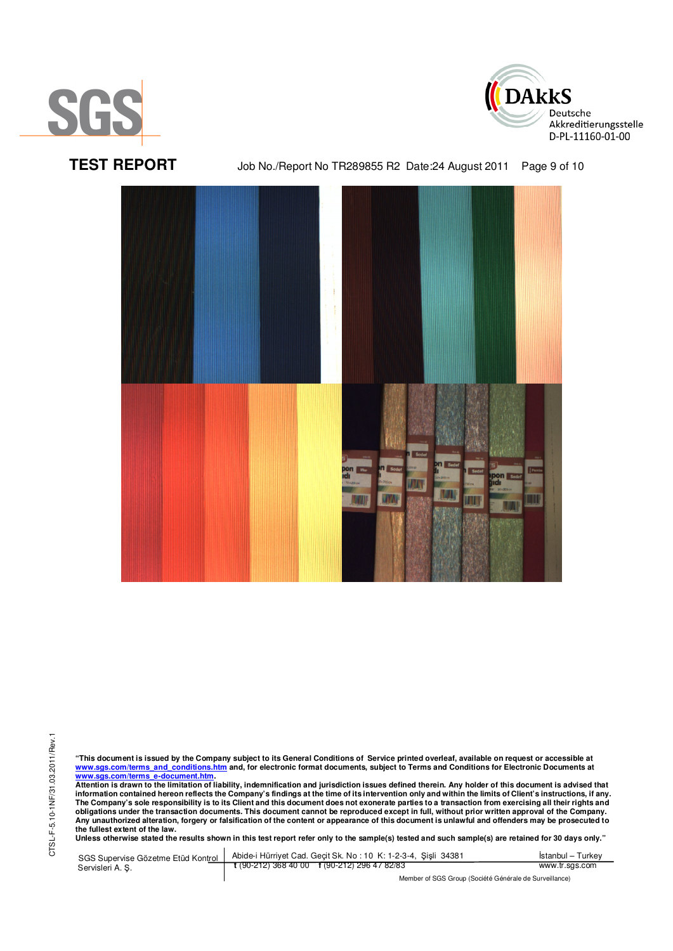





**TEST REPORT** Job No./Report No TR289855 R2 Date:24 August 2011 Page 9 of 10



"This document is issued by the Company subject to its General Conditions of Service printed overleaf, available on request or accessible at<br>www.sgs.com/terms\_and\_conditions.htm\_and, for electronic format documents, subjec <mark>www.sgs.com/terms\_e-document.htm.</mark><br>Attention is drawn to the limitation of liability, indemnification and jurisdiction issues defined therein. Any holder of this document is advised that

information contained hereon reflects the Company's findings at the time of its intervention only and within the limits of Client's instructions, if any.<br>The Company's sole responsibility is to its Client and this document obligations under the transaction documents. This document cannot be reproduced except in full, without prior written approval of the Company.<br>Any unauthorized alteration, forgery or falsification of the content or appeara

**Unless otherwise stated the results shown in this test report refer only to the sample(s) tested and such sample(s) are retained for 30 days only."** 

SGS Supervise Gözetme Etüd Kontrol Servisleri A. Ş. Abide-i Hürriyet Cad. Geçit Sk. No : 10 K: 1-2-3-4, Şişli 34381 **t** (90-212) 368 40 00 **f** (90-212) 296 47 82/83 İstanbul – Turkey www.tr.sgs.com